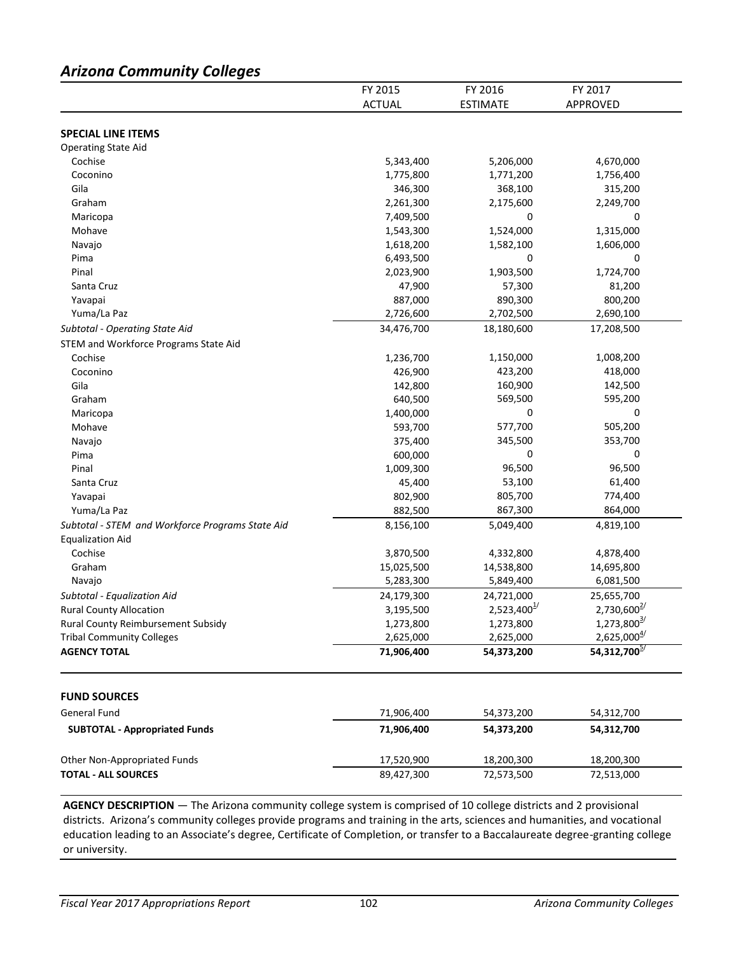# *Arizona Community Colleges*

|                                                  | FY 2015       | FY 2016                   | FY 2017                   |
|--------------------------------------------------|---------------|---------------------------|---------------------------|
|                                                  | <b>ACTUAL</b> | <b>ESTIMATE</b>           | APPROVED                  |
|                                                  |               |                           |                           |
| <b>SPECIAL LINE ITEMS</b>                        |               |                           |                           |
| <b>Operating State Aid</b>                       |               |                           |                           |
| Cochise                                          | 5,343,400     | 5,206,000                 | 4,670,000                 |
| Coconino                                         | 1,775,800     | 1,771,200                 | 1,756,400                 |
| Gila                                             | 346,300       | 368,100                   | 315,200                   |
| Graham                                           | 2,261,300     | 2,175,600                 | 2,249,700                 |
| Maricopa                                         | 7,409,500     | 0                         | 0                         |
| Mohave                                           | 1,543,300     | 1,524,000                 | 1,315,000                 |
| Navajo                                           | 1,618,200     | 1,582,100                 | 1,606,000                 |
| Pima                                             | 6,493,500     | 0                         | 0                         |
| Pinal                                            | 2,023,900     | 1,903,500                 | 1,724,700                 |
| Santa Cruz                                       | 47,900        | 57,300                    | 81,200                    |
| Yavapai                                          | 887,000       | 890,300                   | 800,200                   |
| Yuma/La Paz                                      | 2,726,600     | 2,702,500                 | 2,690,100                 |
| Subtotal - Operating State Aid                   | 34,476,700    | 18,180,600                | 17,208,500                |
| STEM and Workforce Programs State Aid            |               |                           |                           |
| Cochise                                          | 1,236,700     | 1,150,000                 | 1,008,200                 |
| Coconino                                         | 426,900       | 423,200                   | 418,000                   |
| Gila                                             | 142,800       | 160,900                   | 142,500                   |
| Graham                                           | 640,500       | 569,500                   | 595,200                   |
| Maricopa                                         | 1,400,000     | 0                         | 0                         |
| Mohave                                           | 593,700       | 577,700                   | 505,200                   |
| Navajo                                           | 375,400       | 345,500                   | 353,700                   |
| Pima                                             | 600,000       | 0                         | 0                         |
| Pinal                                            | 1,009,300     | 96,500                    | 96,500                    |
| Santa Cruz                                       | 45,400        | 53,100                    | 61,400                    |
| Yavapai                                          | 802,900       | 805,700                   | 774,400                   |
| Yuma/La Paz                                      | 882,500       | 867,300                   | 864,000                   |
|                                                  |               | 5,049,400                 | 4,819,100                 |
| Subtotal - STEM and Workforce Programs State Aid | 8,156,100     |                           |                           |
| <b>Equalization Aid</b>                          |               |                           |                           |
| Cochise                                          | 3,870,500     | 4,332,800                 | 4,878,400                 |
| Graham                                           | 15,025,500    | 14,538,800                | 14,695,800                |
| Navajo                                           | 5,283,300     | 5,849,400                 | 6,081,500                 |
| Subtotal - Equalization Aid                      | 24,179,300    | 24,721,000                | 25,655,700                |
| <b>Rural County Allocation</b>                   | 3,195,500     | $2,523,400^{\frac{1}{2}}$ | $2,730,600^{2/3}$         |
| Rural County Reimbursement Subsidy               | 1,273,800     | 1,273,800                 | $1,273,800^{\frac{3}{2}}$ |
| <b>Tribal Community Colleges</b>                 | 2,625,000     | 2,625,000                 | $2,625,000^{\frac{4}{2}}$ |
| <b>AGENCY TOTAL</b>                              | 71,906,400    | 54,373,200                | 54,312,700 <sup>5/</sup>  |
| <b>FUND SOURCES</b>                              |               |                           |                           |
| General Fund                                     | 71,906,400    | 54,373,200                | 54,312,700                |
|                                                  | 71,906,400    |                           |                           |
| <b>SUBTOTAL - Appropriated Funds</b>             |               | 54,373,200                | 54,312,700                |
| Other Non-Appropriated Funds                     | 17,520,900    | 18,200,300                | 18,200,300                |
| <b>TOTAL - ALL SOURCES</b>                       | 89,427,300    | 72,573,500                | 72,513,000                |
|                                                  |               |                           |                           |

**AGENCY DESCRIPTION** — The Arizona community college system is comprised of 10 college districts and 2 provisional districts. Arizona's community colleges provide programs and training in the arts, sciences and humanities, and vocational education leading to an Associate's degree, Certificate of Completion, or transfer to a Baccalaureate degree-granting college or university.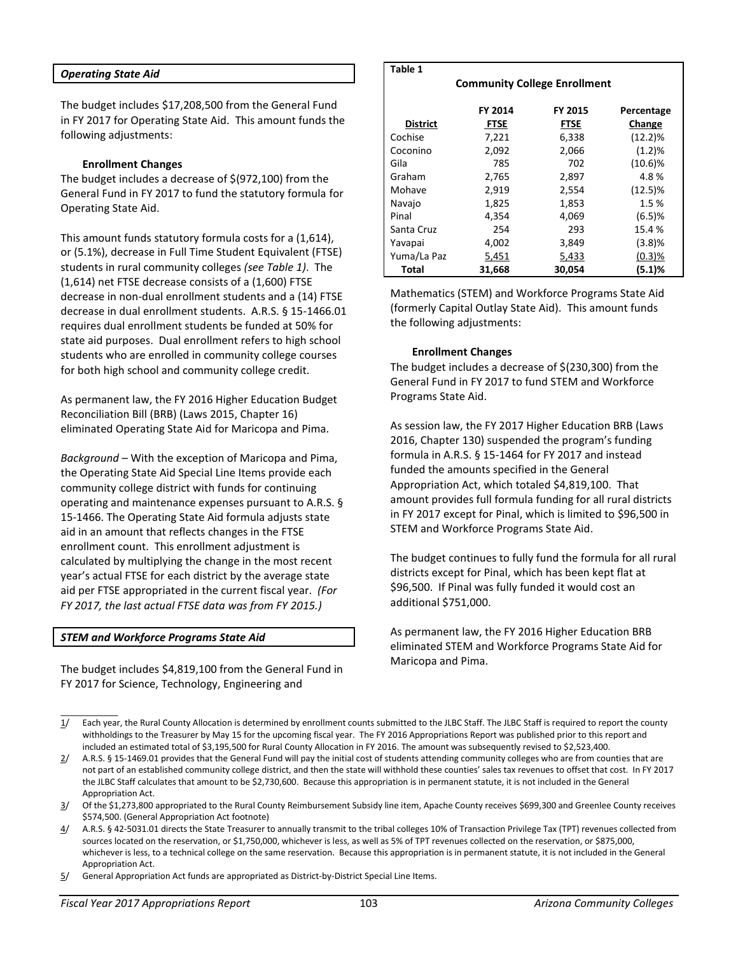#### *Operating State Aid*

The budget includes \$17,208,500 from the General Fund in FY 2017 for Operating State Aid. This amount funds the following adjustments:

#### **Enrollment Changes**

The budget includes a decrease of \$(972,100) from the General Fund in FY 2017 to fund the statutory formula for Operating State Aid.

This amount funds statutory formula costs for a (1,614), or (5.1%), decrease in Full Time Student Equivalent (FTSE) students in rural community colleges *(see Table 1)*. The (1,614) net FTSE decrease consists of a (1,600) FTSE decrease in non-dual enrollment students and a (14) FTSE decrease in dual enrollment students. A.R.S. § 15-1466.01 requires dual enrollment students be funded at 50% for state aid purposes. Dual enrollment refers to high school students who are enrolled in community college courses for both high school and community college credit.

As permanent law, the FY 2016 Higher Education Budget Reconciliation Bill (BRB) (Laws 2015, Chapter 16) eliminated Operating State Aid for Maricopa and Pima.

*Background* – With the exception of Maricopa and Pima, the Operating State Aid Special Line Items provide each community college district with funds for continuing operating and maintenance expenses pursuant to A.R.S. § 15-1466. The Operating State Aid formula adjusts state aid in an amount that reflects changes in the FTSE enrollment count. This enrollment adjustment is calculated by multiplying the change in the most recent year's actual FTSE for each district by the average state aid per FTSE appropriated in the current fiscal year. *(For FY 2017, the last actual FTSE data was from FY 2015.)*

#### *STEM and Workforce Programs State Aid*

\_\_\_\_\_\_\_\_\_\_\_\_

The budget includes \$4,819,100 from the General Fund in FY 2017 for Science, Technology, Engineering and

#### **Table 1**

**Community College Enrollment**

| <b>District</b> | FY 2014<br><b>FTSE</b> | FY 2015<br><b>FTSE</b> | Percentage<br>Change |
|-----------------|------------------------|------------------------|----------------------|
|                 |                        |                        |                      |
| Cochise         | 7,221                  | 6,338                  | $(12.2)\%$           |
| Coconino        | 2,092                  | 2,066                  | (1.2)%               |
| Gila            | 785                    | 702                    | $(10.6)\%$           |
| Graham          | 2,765                  | 2,897                  | 4.8%                 |
| Mohave          | 2,919                  | 2,554                  | (12.5)%              |
| Navajo          | 1,825                  | 1,853                  | 1.5%                 |
| Pinal           | 4,354                  | 4.069                  | (6.5)%               |
| Santa Cruz      | 254                    | 293                    | 15.4 %               |
| Yavapai         | 4,002                  | 3,849                  | (3.8)%               |
| Yuma/La Paz     | 5,451                  | 5,433                  | (0.3)%               |
| Total           | 31,668                 | 30,054                 | (5.1)%               |

Mathematics (STEM) and Workforce Programs State Aid (formerly Capital Outlay State Aid). This amount funds the following adjustments:

#### **Enrollment Changes**

The budget includes a decrease of \$(230,300) from the General Fund in FY 2017 to fund STEM and Workforce Programs State Aid.

As session law, the FY 2017 Higher Education BRB (Laws 2016, Chapter 130) suspended the program's funding formula in A.R.S. § 15-1464 for FY 2017 and instead funded the amounts specified in the General Appropriation Act, which totaled \$4,819,100. That amount provides full formula funding for all rural districts in FY 2017 except for Pinal, which is limited to \$96,500 in STEM and Workforce Programs State Aid.

The budget continues to fully fund the formula for all rural districts except for Pinal, which has been kept flat at \$96,500. If Pinal was fully funded it would cost an additional \$751,000.

As permanent law, the FY 2016 Higher Education BRB eliminated STEM and Workforce Programs State Aid for Maricopa and Pima.

- 1/ Each year, the Rural County Allocation is determined by enrollment counts submitted to the JLBC Staff. The JLBC Staff is required to report the county withholdings to the Treasurer by May 15 for the upcoming fiscal year. The FY 2016 Appropriations Report was published prior to this report and included an estimated total of \$3,195,500 for Rural County Allocation in FY 2016. The amount was subsequently revised to \$2,523,400.
- $2/$  A.R.S. § 15-1469.01 provides that the General Fund will pay the initial cost of students attending community colleges who are from counties that are not part of an established community college district, and then the state will withhold these counties' sales tax revenues to offset that cost. In FY 2017 the JLBC Staff calculates that amount to be \$2,730,600. Because this appropriation is in permanent statute, it is not included in the General Appropriation Act.
- 3/ Of the \$1,273,800 appropriated to the Rural County Reimbursement Subsidy line item, Apache County receives \$699,300 and Greenlee County receives \$574,500. (General Appropriation Act footnote)
- 4/ A.R.S. § 42-5031.01 directs the State Treasurer to annually transmit to the tribal colleges 10% of Transaction Privilege Tax (TPT) revenues collected from sources located on the reservation, or \$1,750,000, whichever is less, as well as 5% of TPT revenues collected on the reservation, or \$875,000, whichever is less, to a technical college on the same reservation. Because this appropriation is in permanent statute, it is not included in the General Appropriation Act.
- 5/ General Appropriation Act funds are appropriated as District-by-District Special Line Items.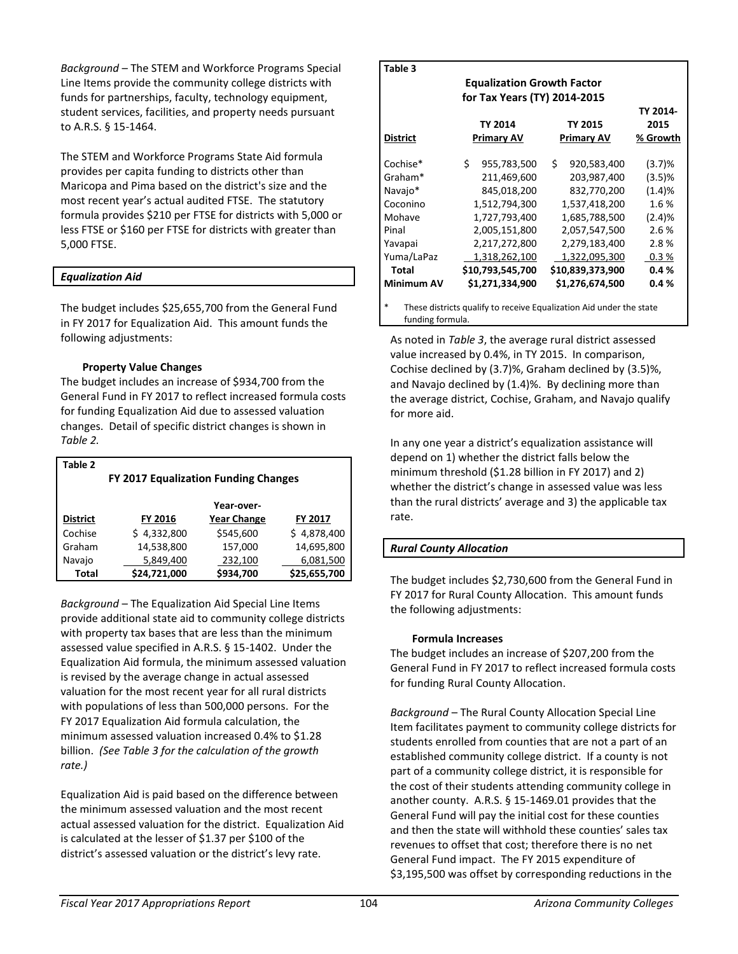*Background* – The STEM and Workforce Programs Special Line Items provide the community college districts with funds for partnerships, faculty, technology equipment, student services, facilities, and property needs pursuant to A.R.S. § 15-1464.

The STEM and Workforce Programs State Aid formula provides per capita funding to districts other than Maricopa and Pima based on the district's size and the most recent year's actual audited FTSE. The statutory formula provides \$210 per FTSE for districts with 5,000 or less FTSE or \$160 per FTSE for districts with greater than 5,000 FTSE.

### *Equalization Aid*

The budget includes \$25,655,700 from the General Fund in FY 2017 for Equalization Aid. This amount funds the following adjustments:

### **Property Value Changes**

The budget includes an increase of \$934,700 from the General Fund in FY 2017 to reflect increased formula costs for funding Equalization Aid due to assessed valuation changes. Detail of specific district changes is shown in *Table 2.* 

| Table 2         |                                             |                    |              |  |  |  |
|-----------------|---------------------------------------------|--------------------|--------------|--|--|--|
|                 | <b>FY 2017 Equalization Funding Changes</b> |                    |              |  |  |  |
|                 |                                             | Year-over-         |              |  |  |  |
| <b>District</b> | FY 2016                                     | <b>Year Change</b> | FY 2017      |  |  |  |
| Cochise         | \$4,332,800                                 | \$545,600          | \$4,878,400  |  |  |  |
| Graham          | 14,538,800                                  | 157,000            | 14,695,800   |  |  |  |
| Navajo          | 5,849,400                                   | 232,100            | 6,081,500    |  |  |  |
| <b>Total</b>    | \$24,721,000                                | \$934,700          | \$25,655,700 |  |  |  |

*Background* – The Equalization Aid Special Line Items provide additional state aid to community college districts with property tax bases that are less than the minimum assessed value specified in A.R.S. § 15-1402. Under the Equalization Aid formula, the minimum assessed valuation is revised by the average change in actual assessed valuation for the most recent year for all rural districts with populations of less than 500,000 persons. For the FY 2017 Equalization Aid formula calculation, the minimum assessed valuation increased 0.4% to \$1.28 billion. *(See Table 3 for the calculation of the growth rate.)* 

Equalization Aid is paid based on the difference between the minimum assessed valuation and the most recent actual assessed valuation for the district. Equalization Aid is calculated at the lesser of \$1.37 per \$100 of the district's assessed valuation or the district's levy rate.

| Table 3                                                                  |    |                              |    |                   |          |  |
|--------------------------------------------------------------------------|----|------------------------------|----|-------------------|----------|--|
| <b>Equalization Growth Factor</b>                                        |    |                              |    |                   |          |  |
|                                                                          |    | for Tax Years (TY) 2014-2015 |    |                   |          |  |
|                                                                          |    |                              |    |                   | TY 2014- |  |
|                                                                          |    | TY 2014                      |    | <b>TY 2015</b>    | 2015     |  |
| District                                                                 |    | <b>Primary AV</b>            |    | <b>Primary AV</b> | % Growth |  |
| Cochise*                                                                 | Ś. | 955,783,500                  | Ś. | 920,583,400       | (3.7)%   |  |
| Graham*                                                                  |    | 211,469,600                  |    | 203,987,400       | (3.5)%   |  |
| Navajo*                                                                  |    | 845,018,200                  |    | 832,770,200       | (1.4)%   |  |
| Coconino                                                                 |    |                              |    |                   | 1.6%     |  |
|                                                                          |    | 1,512,794,300                |    | 1,537,418,200     |          |  |
| Mohave                                                                   |    | 1,727,793,400                |    | 1,685,788,500     | (2.4)%   |  |
| Pinal                                                                    |    | 2,005,151,800                |    | 2,057,547,500     | 2.6%     |  |
| Yavapai                                                                  |    | 2,217,272,800                |    | 2,279,183,400     | 2.8%     |  |
| Yuma/LaPaz                                                               |    | 1,318,262,100                |    | 1,322,095,300     | 0.3%     |  |
| Total                                                                    |    | \$10,793,545,700             |    | \$10,839,373,900  | 0.4%     |  |
| <b>Minimum AV</b>                                                        |    | \$1,271,334,900              |    | \$1,276,674,500   | 0.4%     |  |
| *<br>These districts qualify to receive Equalization Aid under the state |    |                              |    |                   |          |  |
|                                                                          |    |                              |    |                   |          |  |

funding formula.

As noted in *Table 3*, the average rural district assessed value increased by 0.4%, in TY 2015. In comparison, Cochise declined by (3.7)%, Graham declined by (3.5)%, and Navajo declined by (1.4)%. By declining more than the average district, Cochise, Graham, and Navajo qualify for more aid.

In any one year a district's equalization assistance will depend on 1) whether the district falls below the minimum threshold (\$1.28 billion in FY 2017) and 2) whether the district's change in assessed value was less than the rural districts' average and 3) the applicable tax rate.

# *Rural County Allocation*

The budget includes \$2,730,600 from the General Fund in FY 2017 for Rural County Allocation. This amount funds the following adjustments:

### **Formula Increases**

The budget includes an increase of \$207,200 from the General Fund in FY 2017 to reflect increased formula costs for funding Rural County Allocation.

*Background* – The Rural County Allocation Special Line Item facilitates payment to community college districts for students enrolled from counties that are not a part of an established community college district. If a county is not part of a community college district, it is responsible for the cost of their students attending community college in another county. A.R.S. § 15-1469.01 provides that the General Fund will pay the initial cost for these counties and then the state will withhold these counties' sales tax revenues to offset that cost; therefore there is no net General Fund impact. The FY 2015 expenditure of \$3,195,500 was offset by corresponding reductions in the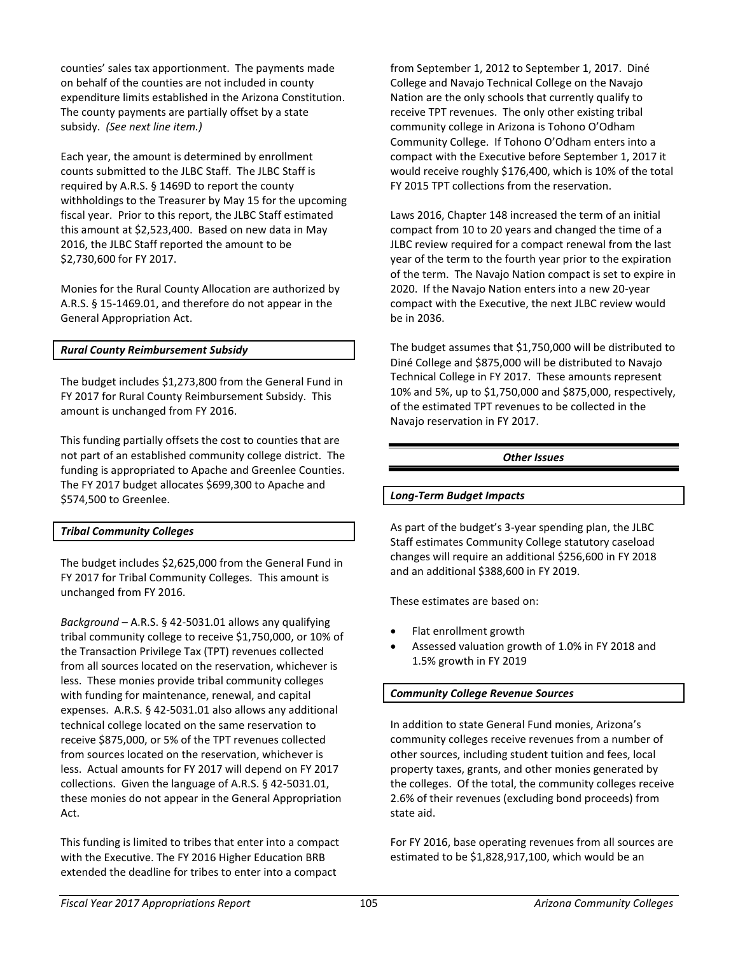counties' sales tax apportionment. The payments made on behalf of the counties are not included in county expenditure limits established in the Arizona Constitution. The county payments are partially offset by a state subsidy. *(See next line item.)*

Each year, the amount is determined by enrollment counts submitted to the JLBC Staff. The JLBC Staff is required by A.R.S. § 1469D to report the county withholdings to the Treasurer by May 15 for the upcoming fiscal year. Prior to this report, the JLBC Staff estimated this amount at \$2,523,400. Based on new data in May 2016, the JLBC Staff reported the amount to be \$2,730,600 for FY 2017.

Monies for the Rural County Allocation are authorized by A.R.S. § 15-1469.01, and therefore do not appear in the General Appropriation Act.

### *Rural County Reimbursement Subsidy*

The budget includes \$1,273,800 from the General Fund in FY 2017 for Rural County Reimbursement Subsidy. This amount is unchanged from FY 2016.

This funding partially offsets the cost to counties that are not part of an established community college district. The funding is appropriated to Apache and Greenlee Counties. The FY 2017 budget allocates \$699,300 to Apache and \$574,500 to Greenlee.

### *Tribal Community Colleges*

The budget includes \$2,625,000 from the General Fund in FY 2017 for Tribal Community Colleges. This amount is unchanged from FY 2016.

*Background* – A.R.S. § 42-5031.01 allows any qualifying tribal community college to receive \$1,750,000, or 10% of the Transaction Privilege Tax (TPT) revenues collected from all sources located on the reservation, whichever is less. These monies provide tribal community colleges with funding for maintenance, renewal, and capital expenses. A.R.S. § 42-5031.01 also allows any additional technical college located on the same reservation to receive \$875,000, or 5% of the TPT revenues collected from sources located on the reservation, whichever is less. Actual amounts for FY 2017 will depend on FY 2017 collections. Given the language of A.R.S. § 42-5031.01, these monies do not appear in the General Appropriation Act.

This funding is limited to tribes that enter into a compact with the Executive. The FY 2016 Higher Education BRB extended the deadline for tribes to enter into a compact

from September 1, 2012 to September 1, 2017. Diné College and Navajo Technical College on the Navajo Nation are the only schools that currently qualify to receive TPT revenues. The only other existing tribal community college in Arizona is Tohono O'Odham Community College. If Tohono O'Odham enters into a compact with the Executive before September 1, 2017 it would receive roughly \$176,400, which is 10% of the total FY 2015 TPT collections from the reservation.

Laws 2016, Chapter 148 increased the term of an initial compact from 10 to 20 years and changed the time of a JLBC review required for a compact renewal from the last year of the term to the fourth year prior to the expiration of the term. The Navajo Nation compact is set to expire in 2020. If the Navajo Nation enters into a new 20-year compact with the Executive, the next JLBC review would be in 2036.

The budget assumes that \$1,750,000 will be distributed to Diné College and \$875,000 will be distributed to Navajo Technical College in FY 2017. These amounts represent 10% and 5%, up to \$1,750,000 and \$875,000, respectively, of the estimated TPT revenues to be collected in the Navajo reservation in FY 2017.

### *Other Issues*

### *Long-Term Budget Impacts*

As part of the budget's 3-year spending plan, the JLBC Staff estimates Community College statutory caseload changes will require an additional \$256,600 in FY 2018 and an additional \$388,600 in FY 2019.

These estimates are based on:

- Flat enrollment growth
- Assessed valuation growth of 1.0% in FY 2018 and 1.5% growth in FY 2019

### *Community College Revenue Sources*

In addition to state General Fund monies, Arizona's community colleges receive revenues from a number of other sources, including student tuition and fees, local property taxes, grants, and other monies generated by the colleges. Of the total, the community colleges receive 2.6% of their revenues (excluding bond proceeds) from state aid.

For FY 2016, base operating revenues from all sources are estimated to be \$1,828,917,100, which would be an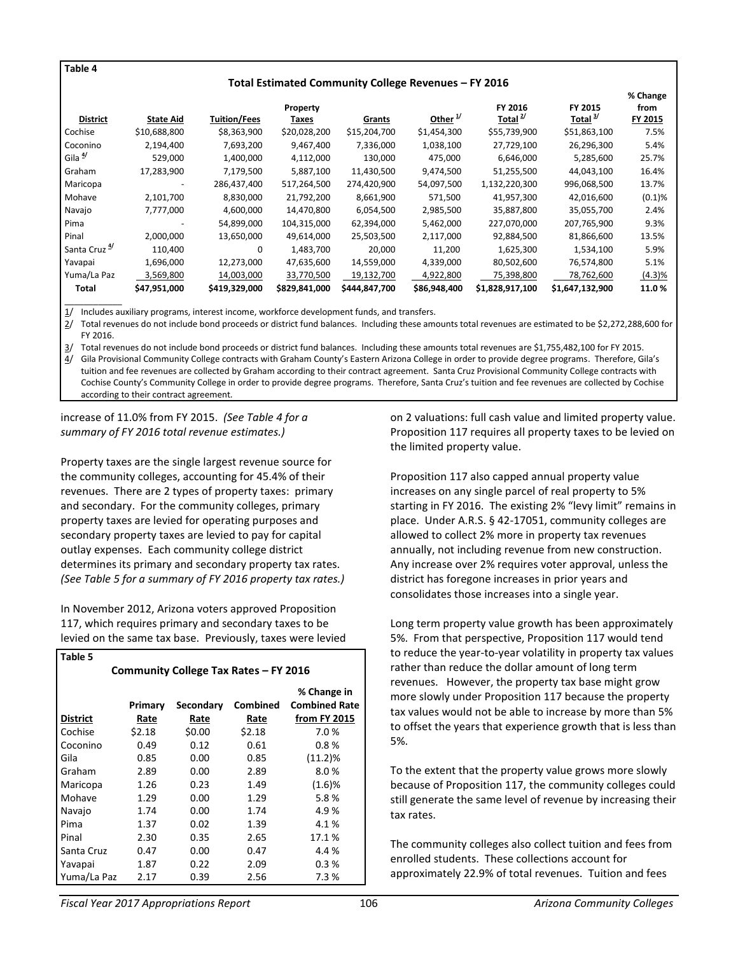#### **Table 4**

#### **Total Estimated Community College Revenues – FY 2016**

|                          |                  |                     |               |               |                |                     |                     | % Change  |
|--------------------------|------------------|---------------------|---------------|---------------|----------------|---------------------|---------------------|-----------|
|                          |                  |                     | Property      |               |                | FY 2016             | FY 2015             | from      |
| <b>District</b>          | <b>State Aid</b> | <b>Tuition/Fees</b> | Taxes         | Grants        | Other $^{1/2}$ | Total <sup>2/</sup> | Total $\frac{3}{2}$ | FY 2015   |
| Cochise                  | \$10,688,800     | \$8,363,900         | \$20,028,200  | \$15,204,700  | \$1,454,300    | \$55,739,900        | \$51,863,100        | 7.5%      |
| Coconino                 | 2,194,400        | 7,693,200           | 9,467,400     | 7,336,000     | 1,038,100      | 27,729,100          | 26,296,300          | 5.4%      |
| Gila <sup>4/</sup>       | 529,000          | 1,400,000           | 4,112,000     | 130,000       | 475,000        | 6,646,000           | 5,285,600           | 25.7%     |
| Graham                   | 17,283,900       | 7,179,500           | 5,887,100     | 11,430,500    | 9,474,500      | 51,255,500          | 44,043,100          | 16.4%     |
| Maricopa                 | -                | 286,437,400         | 517,264,500   | 274,420,900   | 54,097,500     | 1,132,220,300       | 996,068,500         | 13.7%     |
| Mohave                   | 2,101,700        | 8,830,000           | 21,792,200    | 8,661,900     | 571,500        | 41,957,300          | 42,016,600          | (0.1)%    |
| Navajo                   | 7,777,000        | 4,600,000           | 14,470,800    | 6,054,500     | 2,985,500      | 35,887,800          | 35,055,700          | 2.4%      |
| Pima                     |                  | 54,899,000          | 104,315,000   | 62,394,000    | 5,462,000      | 227,070,000         | 207,765,900         | 9.3%      |
| Pinal                    | 2,000,000        | 13,650,000          | 49,614,000    | 25,503,500    | 2,117,000      | 92,884,500          | 81,866,600          | 13.5%     |
| Santa Cruz <sup>4/</sup> | 110.400          | 0                   | 1,483,700     | 20,000        | 11,200         | 1,625,300           | 1,534,100           | 5.9%      |
| Yavapai                  | 1,696,000        | 12,273,000          | 47,635,600    | 14,559,000    | 4,339,000      | 80,502,600          | 76,574,800          | 5.1%      |
| Yuma/La Paz              | 3.569.800        | 14,003,000          | 33,770,500    | 19,132,700    | 4,922,800      | 75,398,800          | 78,762,600          | $(4.3)\%$ |
| Total                    | \$47,951,000     | \$419,329,000       | \$829,841,000 | \$444,847,700 | \$86,948,400   | \$1,828,917,100     | \$1,647,132,900     | 11.0%     |

\_\_\_\_\_\_\_\_\_\_\_\_ 1/ Includes auxiliary programs, interest income, workforce development funds, and transfers.

2/ Total revenues do not include bond proceeds or district fund balances. Including these amounts total revenues are estimated to be \$2,272,288,600 for FY 2016.

3/ Total revenues do not include bond proceeds or district fund balances. Including these amounts total revenues are \$1,755,482,100 for FY 2015.

4/ Gila Provisional Community College contracts with Graham County's Eastern Arizona College in order to provide degree programs. Therefore, Gila's tuition and fee revenues are collected by Graham according to their contract agreement. Santa Cruz Provisional Community College contracts with Cochise County's Community College in order to provide degree programs. Therefore, Santa Cruz's tuition and fee revenues are collected by Cochise according to their contract agreement.

increase of 11.0% from FY 2015. *(See Table 4 for a summary of FY 2016 total revenue estimates.)*

Property taxes are the single largest revenue source for the community colleges, accounting for 45.4% of their revenues. There are 2 types of property taxes: primary and secondary. For the community colleges, primary property taxes are levied for operating purposes and secondary property taxes are levied to pay for capital outlay expenses. Each community college district determines its primary and secondary property tax rates. *(See Table 5 for a summary of FY 2016 property tax rates.)*

In November 2012, Arizona voters approved Proposition 117, which requires primary and secondary taxes to be levied on the same tax base. Previously, taxes were levied

| Table 5                               |         |           |          |                      |  |  |
|---------------------------------------|---------|-----------|----------|----------------------|--|--|
| Community College Tax Rates - FY 2016 |         |           |          |                      |  |  |
|                                       |         |           |          | % Change in          |  |  |
|                                       | Primary | Secondary | Combined | <b>Combined Rate</b> |  |  |
| <b>District</b>                       | Rate    | Rate      | Rate     | from FY 2015         |  |  |
| Cochise                               | \$2.18  | \$0.00    | \$2.18   | 7.0%                 |  |  |
| Coconino                              | 0.49    | 0.12      | 0.61     | 0.8%                 |  |  |
| Gila                                  | 0.85    | 0.00      | 0.85     | (11.2)%              |  |  |
| Graham                                | 2.89    | 0.00      | 2.89     | 8.0%                 |  |  |
| Maricopa                              | 1.26    | 0.23      | 1.49     | $(1.6)$ %            |  |  |
| Mohave                                | 1.29    | 0.00      | 1.29     | 5.8%                 |  |  |
| Navajo                                | 1.74    | 0.00      | 1.74     | 4.9%                 |  |  |
| Pima                                  | 1.37    | 0.02      | 1.39     | 4.1%                 |  |  |
| Pinal                                 | 2.30    | 0.35      | 2.65     | 17.1%                |  |  |
| Santa Cruz                            | 0.47    | 0.00      | 0.47     | 4.4 %                |  |  |
| Yavapai                               | 1.87    | 0.22      | 2.09     | 0.3%                 |  |  |
| Yuma/La Paz                           | 2.17    | 0.39      | 2.56     | 7.3 %                |  |  |

on 2 valuations: full cash value and limited property value. Proposition 117 requires all property taxes to be levied on the limited property value.

Proposition 117 also capped annual property value increases on any single parcel of real property to 5% starting in FY 2016. The existing 2% "levy limit" remains in place. Under A.R.S. § 42-17051, community colleges are allowed to collect 2% more in property tax revenues annually, not including revenue from new construction. Any increase over 2% requires voter approval, unless the district has foregone increases in prior years and consolidates those increases into a single year.

Long term property value growth has been approximately 5%. From that perspective, Proposition 117 would tend to reduce the year-to-year volatility in property tax values rather than reduce the dollar amount of long term revenues. However, the property tax base might grow more slowly under Proposition 117 because the property tax values would not be able to increase by more than 5% to offset the years that experience growth that is less than 5%.

To the extent that the property value grows more slowly because of Proposition 117, the community colleges could still generate the same level of revenue by increasing their tax rates.

The community colleges also collect tuition and fees from enrolled students. These collections account for approximately 22.9% of total revenues. Tuition and fees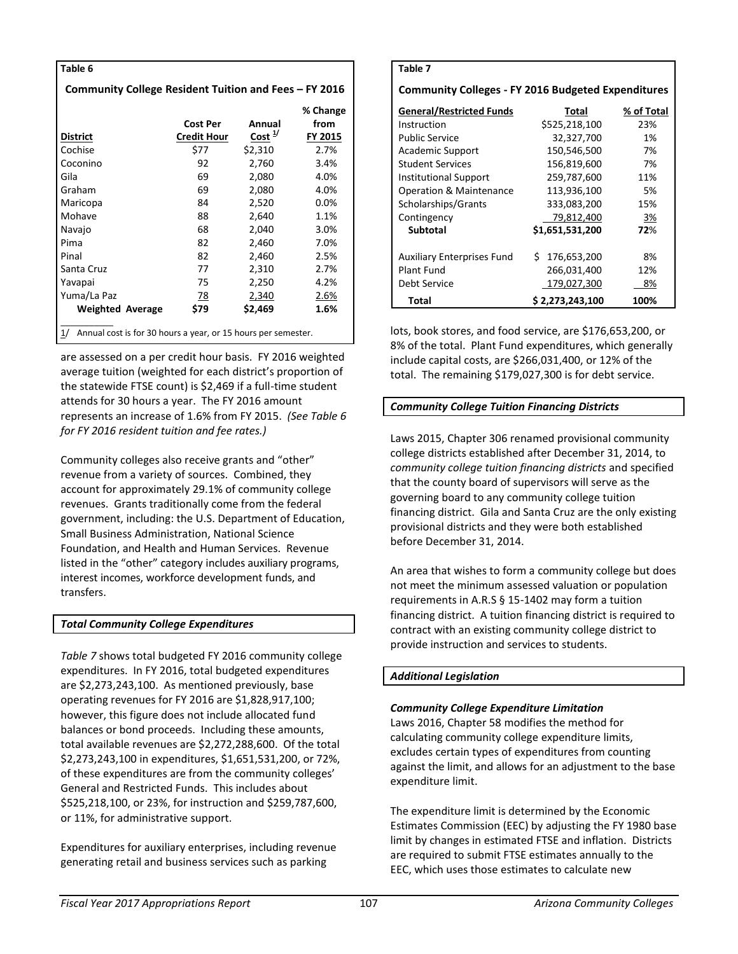| Table 6                                                             |                    |                    |          |  |  |  |  |
|---------------------------------------------------------------------|--------------------|--------------------|----------|--|--|--|--|
| Community College Resident Tuition and Fees – FY 2016               |                    |                    |          |  |  |  |  |
|                                                                     |                    |                    | % Change |  |  |  |  |
|                                                                     | Cost Per           | Annual             | from     |  |  |  |  |
| <b>District</b>                                                     | <b>Credit Hour</b> | Cost <sup>1/</sup> | FY 2015  |  |  |  |  |
| Cochise                                                             | \$77               | \$2,310            | 2.7%     |  |  |  |  |
| Coconino                                                            | 92                 | 2,760              | 3.4%     |  |  |  |  |
| Gila                                                                | 69                 | 2,080              | 4.0%     |  |  |  |  |
| Graham                                                              | 69                 | 2,080              | 4.0%     |  |  |  |  |
| Maricopa                                                            | 84                 | 2,520              | 0.0%     |  |  |  |  |
| Mohave                                                              | 88                 | 2,640              | 1.1%     |  |  |  |  |
| Navajo                                                              | 68                 | 2,040              | 3.0%     |  |  |  |  |
| Pima                                                                | 82                 | 2,460              | 7.0%     |  |  |  |  |
| Pinal                                                               | 82                 | 2,460              | 2.5%     |  |  |  |  |
| Santa Cruz                                                          | 77                 | 2,310              | 2.7%     |  |  |  |  |
| Yavapai                                                             | 75                 | 2,250              | 4.2%     |  |  |  |  |
| Yuma/La Paz                                                         | 78                 | 2,340              | 2.6%     |  |  |  |  |
| <b>Weighted Average</b>                                             | \$79               | \$2,469            | 1.6%     |  |  |  |  |
| Annual cost is for 30 hours a year, or 15 hours per semester.<br>1/ |                    |                    |          |  |  |  |  |

are assessed on a per credit hour basis. FY 2016 weighted average tuition (weighted for each district's proportion of the statewide FTSE count) is \$2,469 if a full-time student attends for 30 hours a year. The FY 2016 amount represents an increase of 1.6% from FY 2015. *(See Table 6 for FY 2016 resident tuition and fee rates.)*

Community colleges also receive grants and "other" revenue from a variety of sources. Combined, they account for approximately 29.1% of community college revenues. Grants traditionally come from the federal government, including: the U.S. Department of Education, Small Business Administration, National Science Foundation, and Health and Human Services. Revenue listed in the "other" category includes auxiliary programs, interest incomes, workforce development funds, and transfers.

### *Total Community College Expenditures*

*Table 7* shows total budgeted FY 2016 community college expenditures. In FY 2016, total budgeted expenditures are \$2,273,243,100. As mentioned previously, base operating revenues for FY 2016 are \$1,828,917,100; however, this figure does not include allocated fund balances or bond proceeds. Including these amounts, total available revenues are \$2,272,288,600. Of the total \$2,273,243,100 in expenditures, \$1,651,531,200, or 72%, of these expenditures are from the community colleges' General and Restricted Funds. This includes about \$525,218,100, or 23%, for instruction and \$259,787,600, or 11%, for administrative support.

Expenditures for auxiliary enterprises, including revenue generating retail and business services such as parking

| Table 7                                                   |                  |            |  |  |  |  |
|-----------------------------------------------------------|------------------|------------|--|--|--|--|
| <b>Community Colleges - FY 2016 Budgeted Expenditures</b> |                  |            |  |  |  |  |
| <b>General/Restricted Funds</b>                           | Total            | % of Total |  |  |  |  |
| Instruction                                               | \$525,218,100    | 23%        |  |  |  |  |
| <b>Public Service</b>                                     | 32,327,700       | 1%         |  |  |  |  |
| Academic Support                                          | 150,546,500      | 7%         |  |  |  |  |
| <b>Student Services</b>                                   | 156,819,600      | 7%         |  |  |  |  |
| Institutional Support                                     | 259,787,600      | 11%        |  |  |  |  |
| <b>Operation &amp; Maintenance</b>                        | 113,936,100      | 5%         |  |  |  |  |
| Scholarships/Grants                                       | 333,083,200      | 15%        |  |  |  |  |
| Contingency                                               | 79,812,400       | 3%         |  |  |  |  |
| <b>Subtotal</b>                                           | \$1,651,531,200  | 72%        |  |  |  |  |
|                                                           |                  |            |  |  |  |  |
| <b>Auxiliary Enterprises Fund</b>                         | \$176,653,200    | 8%         |  |  |  |  |
| Plant Fund                                                | 266,031,400      | 12%        |  |  |  |  |
| Debt Service                                              | 179,027,300      | 8%         |  |  |  |  |
| Total                                                     | \$ 2,273,243,100 | 100%       |  |  |  |  |

lots, book stores, and food service, are \$176,653,200, or 8% of the total. Plant Fund expenditures, which generally include capital costs, are \$266,031,400, or 12% of the total. The remaining \$179,027,300 is for debt service.

# *Community College Tuition Financing Districts*

Laws 2015, Chapter 306 renamed provisional community college districts established after December 31, 2014, to *community college tuition financing districts* and specified that the county board of supervisors will serve as the governing board to any community college tuition financing district. Gila and Santa Cruz are the only existing provisional districts and they were both established before December 31, 2014.

An area that wishes to form a community college but does not meet the minimum assessed valuation or population requirements in A.R.S § 15-1402 may form a tuition financing district. A tuition financing district is required to contract with an existing community college district to provide instruction and services to students.

# *Additional Legislation*

# *Community College Expenditure Limitation*

Laws 2016, Chapter 58 modifies the method for calculating community college expenditure limits, excludes certain types of expenditures from counting against the limit, and allows for an adjustment to the base expenditure limit.

The expenditure limit is determined by the Economic Estimates Commission (EEC) by adjusting the FY 1980 base limit by changes in estimated FTSE and inflation. Districts are required to submit FTSE estimates annually to the EEC, which uses those estimates to calculate new